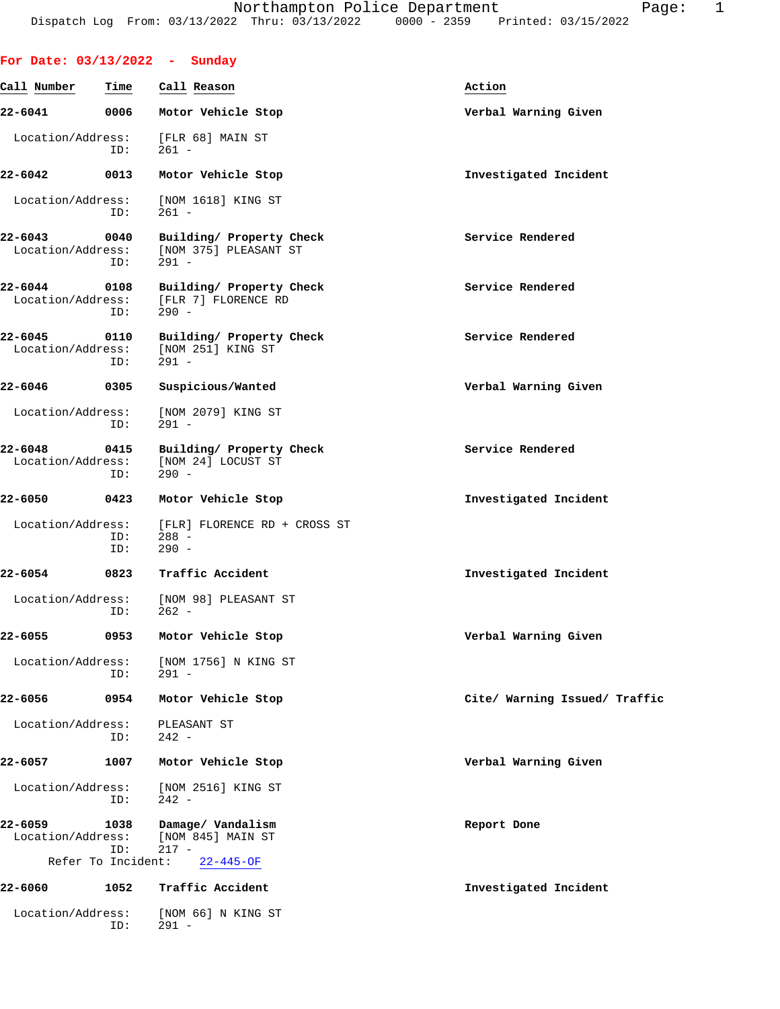| For Date: 03/13/2022 - Sunday |                    |                                                              |                               |
|-------------------------------|--------------------|--------------------------------------------------------------|-------------------------------|
| Call Number                   | Time               | Call Reason                                                  | Action                        |
| 22-6041                       | 0006               | Motor Vehicle Stop                                           | Verbal Warning Given          |
| Location/Address:             | ID:                | [FLR 68] MAIN ST<br>$261 -$                                  |                               |
| 22-6042                       | 0013               | Motor Vehicle Stop                                           | Investigated Incident         |
| Location/Address:             | ID:                | [NOM 1618] KING ST<br>$261 -$                                |                               |
| 22-6043<br>Location/Address:  | 0040<br>ID:        | Building/ Property Check<br>[NOM 375] PLEASANT ST<br>$291 -$ | Service Rendered              |
| 22-6044<br>Location/Address:  | 0108<br>ID:        | Building/ Property Check<br>[FLR 7] FLORENCE RD<br>$290 -$   | Service Rendered              |
| 22-6045<br>Location/Address:  | 0110<br>ID:        | Building/ Property Check<br>[NOM 251] KING ST<br>$291 -$     | Service Rendered              |
| 22-6046                       | 0305               | Suspicious/Wanted                                            | Verbal Warning Given          |
| Location/Address:             | ID:                | [NOM 2079] KING ST<br>$291 -$                                |                               |
| 22-6048<br>Location/Address:  | 0415<br>ID:        | Building/ Property Check<br>[NOM 24] LOCUST ST<br>$290 -$    | Service Rendered              |
| 22-6050                       | 0423               | Motor Vehicle Stop                                           | Investigated Incident         |
| Location/Address:             | ID:<br>ID:         | [FLR] FLORENCE RD + CROSS ST<br>288 -<br>$290 -$             |                               |
| 22-6054                       | 0823               | Traffic Accident                                             | Investigated Incident         |
| Location/Address:             | ID:                | [NOM 98] PLEASANT ST<br>$262 -$                              |                               |
| 22-6055                       | 0953               | Motor Vehicle Stop                                           | Verbal Warning Given          |
| Location/Address:             | ID:                | [NOM 1756] N KING ST<br>$291 -$                              |                               |
| 22-6056                       | 0954               | Motor Vehicle Stop                                           | Cite/ Warning Issued/ Traffic |
| Location/Address:             | ID:                | PLEASANT ST<br>$242 -$                                       |                               |
| 22-6057                       | 1007               | Motor Vehicle Stop                                           | Verbal Warning Given          |
| Location/Address:             | ID:                | [NOM 2516] KING ST<br>$242 -$                                |                               |
| 22-6059<br>Location/Address:  | 1038<br>ID:        | Damage/ Vandalism<br>[NOM 845] MAIN ST<br>$217 -$            | Report Done                   |
|                               | Refer To Incident: | $22 - 445 - OF$                                              |                               |
| 22-6060                       | 1052               | Traffic Accident                                             | Investigated Incident         |
| Location/Address:             | ID:                | [NOM 66] N KING ST<br>$291 -$                                |                               |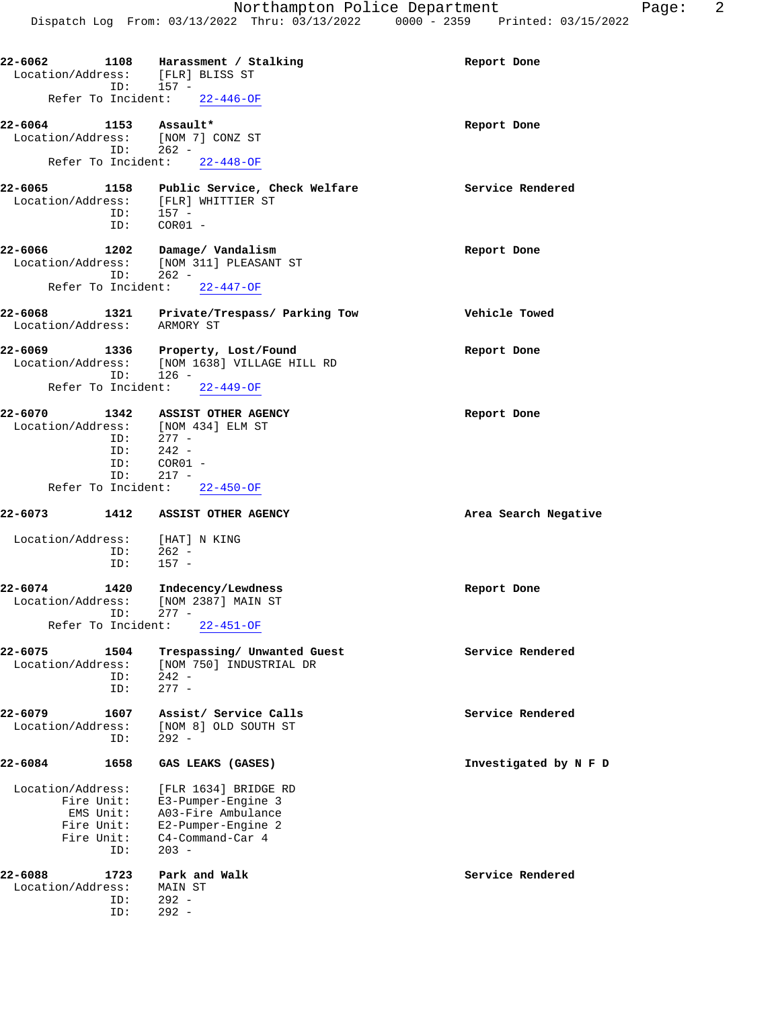| Location/Address: [FLR] BLISS ST                                         | $ID: 157 -$                                          | 22-6062 1108 Harassment / Stalking                                                                         | Report Done           |
|--------------------------------------------------------------------------|------------------------------------------------------|------------------------------------------------------------------------------------------------------------|-----------------------|
| Refer To Incident: 22-446-OF                                             |                                                      |                                                                                                            |                       |
| 22-6064 1153 Assault*<br>Location/Address: [NOM 7] CONZ ST               | ID: 262 -                                            |                                                                                                            | Report Done           |
|                                                                          |                                                      | Refer To Incident: 22-448-OF                                                                               |                       |
| Location/Address: [FLR] WHITTIER ST                                      | 157 -<br>ID:                                         | 22-6065 1158 Public Service, Check Welfare Service Rendered                                                |                       |
|                                                                          | ID: COR01 -                                          |                                                                                                            |                       |
| 22-6066 1202 Damage/Vandalism                                            | $ID: 262 -$                                          | Location/Address: [NOM 311] PLEASANT ST                                                                    | Report Done           |
|                                                                          |                                                      | Refer To Incident: 22-447-OF                                                                               |                       |
| Location/Address: ARMORY ST                                              |                                                      | 22-6068 1321 Private/Trespass/ Parking Tow                                                                 | Vehicle Towed         |
|                                                                          | ID:<br>$126 -$                                       | 22-6069 1336 Property, Lost/Found<br>Location/Address: [NOM 1638] VILLAGE HILL RD                          | Report Done           |
| Refer To Incident: 22-449-OF                                             |                                                      |                                                                                                            |                       |
| 22-6070 1342 ASSIST OTHER AGENCY<br>Location/Address: [NOM 434] ELM ST   |                                                      |                                                                                                            | Report Done           |
|                                                                          | $277 -$<br>ID:<br>$242 -$<br>ID:<br>$COR01 -$<br>ID: |                                                                                                            |                       |
|                                                                          | $ID: 217 -$                                          | Refer To Incident: 22-450-OF                                                                               |                       |
| 22-6073 1412 ASSIST OTHER AGENCY                                         |                                                      |                                                                                                            | Area Search Negative  |
| Location/Address: [HAT] N KING                                           |                                                      |                                                                                                            |                       |
|                                                                          | ID: 262 -<br>ID: 157 -                               |                                                                                                            |                       |
| 22-6074<br>Location/Address:                                             |                                                      | 1420 Indecency/Lewdness<br>[NOM 2387] MAIN ST                                                              | Report Done           |
| Refer To Incident:                                                       | $277 -$<br>ID:                                       | $22 - 451 - OF$                                                                                            |                       |
| 22-6075<br>Location/Address:                                             | 1504                                                 | Trespassing/ Unwanted Guest<br>[NOM 750] INDUSTRIAL DR                                                     | Service Rendered      |
|                                                                          | $242 -$<br>ID:<br>$277 -$<br>ID:                     |                                                                                                            |                       |
| 22-6079<br>Location/Address:                                             | 1607<br>$292 -$<br>ID:                               | Assist/ Service Calls<br>[NOM 8] OLD SOUTH ST                                                              | Service Rendered      |
| $22 - 6084$                                                              | 1658                                                 | GAS LEAKS (GASES)                                                                                          | Investigated by N F D |
| Location/Address:<br>Fire Unit:<br>EMS Unit:<br>Fire Unit:<br>Fire Unit: | $203 -$<br>ID:                                       | [FLR 1634] BRIDGE RD<br>E3-Pumper-Engine 3<br>A03-Fire Ambulance<br>E2-Pumper-Engine 2<br>C4-Command-Car 4 |                       |
| 22-6088<br>Location/Address:                                             | 1723                                                 | Park and Walk<br>MAIN ST                                                                                   | Service Rendered      |
|                                                                          | $292 -$<br>ID:<br>$292 -$<br>ID:                     |                                                                                                            |                       |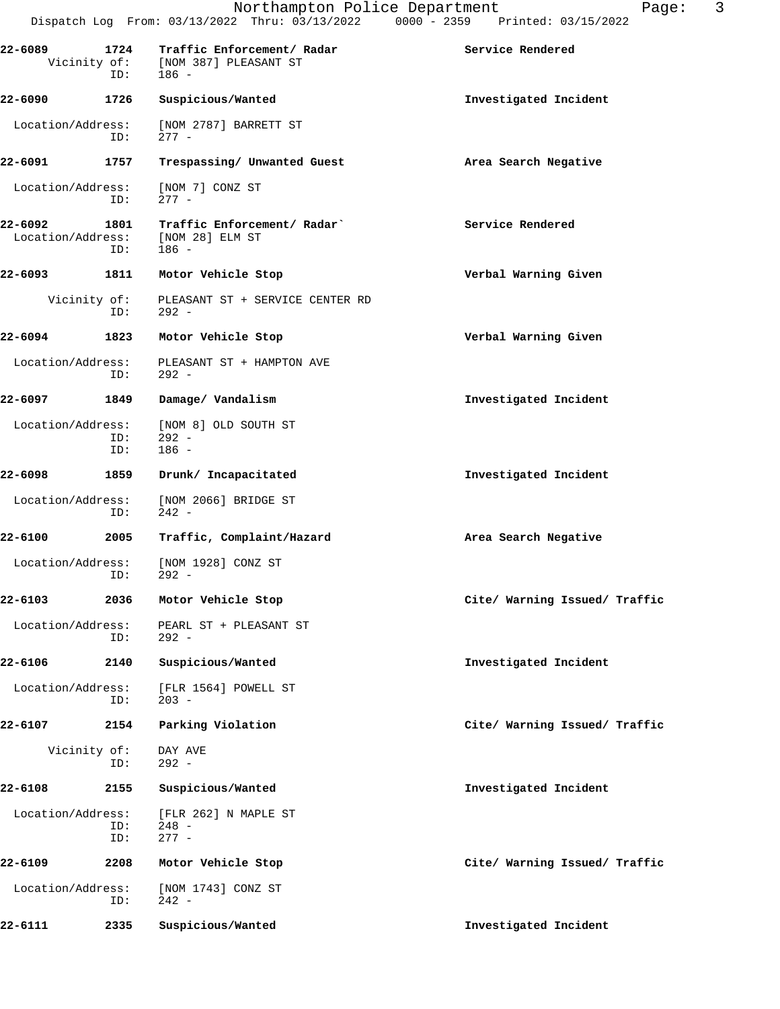| 22-6089                      | ID:                 | 1724 Traffic Enforcement/ Radar<br>Vicinity of: [NOM 387] PLEASANT ST<br>$186 -$ | Service Rendered              |
|------------------------------|---------------------|----------------------------------------------------------------------------------|-------------------------------|
| 22-6090                      | 1726                | Suspicious/Wanted                                                                | Investigated Incident         |
| Location/Address:            | ID:                 | [NOM 2787] BARRETT ST<br>$277 -$                                                 |                               |
| 22-6091                      | 1757                | Trespassing/ Unwanted Guest                                                      | Area Search Negative          |
| Location/Address:            | ID:                 | [NOM 7] CONZ ST<br>$277 -$                                                       |                               |
| 22-6092<br>Location/Address: | 1801<br>ID:         | Traffic Enforcement/ Radar`<br>[NOM 28] ELM ST<br>186 -                          | Service Rendered              |
| 22-6093                      | 1811                | Motor Vehicle Stop                                                               | Verbal Warning Given          |
|                              | Vicinity of:<br>ID: | PLEASANT ST + SERVICE CENTER RD<br>292 -                                         |                               |
| 22-6094                      | 1823                | Motor Vehicle Stop                                                               | Verbal Warning Given          |
| Location/Address:            | ID:                 | PLEASANT ST + HAMPTON AVE<br>$292 -$                                             |                               |
| 22-6097                      | 1849                | Damage/ Vandalism                                                                | Investigated Incident         |
| Location/Address:            | ID:<br>ID:          | [NOM 8] OLD SOUTH ST<br>$292 -$<br>$186 -$                                       |                               |
| 22-6098                      | 1859                | Drunk/ Incapacitated                                                             | Investigated Incident         |
| Location/Address:            | ID:                 | [NOM 2066] BRIDGE ST<br>$242 -$                                                  |                               |
| 22-6100                      | 2005                | Traffic, Complaint/Hazard                                                        | Area Search Negative          |
| Location/Address:            | ID:                 | [NOM 1928] CONZ ST<br>$292 -$                                                    |                               |
| 22-6103                      | 2036                | Motor Vehicle Stop                                                               | Cite/ Warning Issued/ Traffic |
| Location/Address:            | ID:                 | PEARL ST + PLEASANT ST<br>$292 -$                                                |                               |
| 22-6106                      | 2140                | Suspicious/Wanted                                                                | Investigated Incident         |
| Location/Address:            | ID:                 | [FLR 1564] POWELL ST<br>$203 -$                                                  |                               |
| 22-6107                      | 2154                | Parking Violation                                                                | Cite/ Warning Issued/ Traffic |
|                              | Vicinity of:<br>ID: | DAY AVE<br>$292 -$                                                               |                               |
| 22-6108                      | 2155                | Suspicious/Wanted                                                                | Investigated Incident         |
| Location/Address:            | ID:<br>ID:          | [FLR 262] N MAPLE ST<br>$248 -$<br>$277 -$                                       |                               |
| 22-6109                      | 2208                | Motor Vehicle Stop                                                               | Cite/ Warning Issued/ Traffic |
| Location/Address:            | ID:                 | [NOM 1743] CONZ ST<br>$242 -$                                                    |                               |
| 22-6111                      | 2335                | Suspicious/Wanted                                                                | Investigated Incident         |